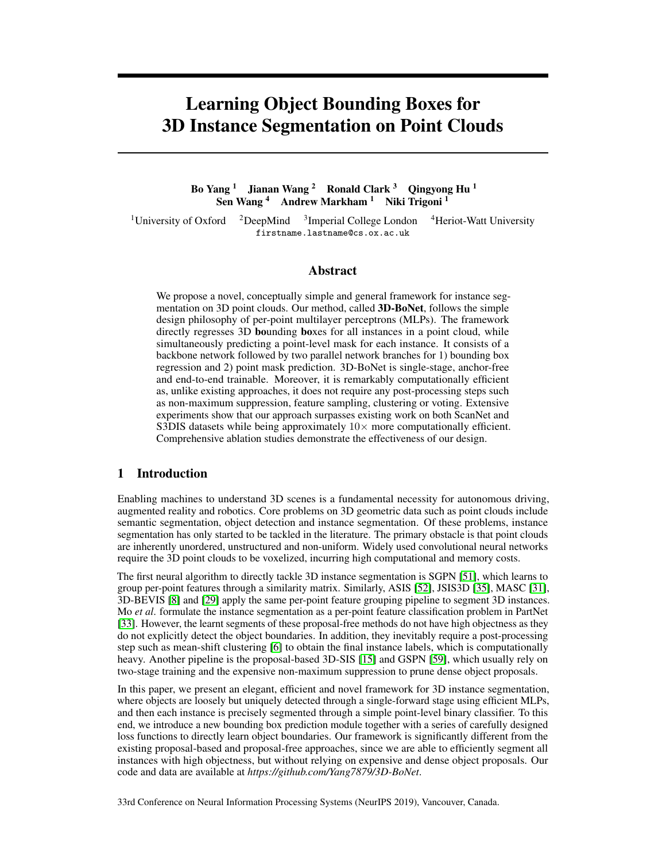# Learning Object Bounding Boxes for 3D Instance Segmentation on Point Clouds

Bo Yang <sup>1</sup> Jianan Wang <sup>2</sup> Ronald Clark <sup>3</sup> Qingyong Hu <sup>1</sup> Sen Wang<sup>4</sup> Andrew Markham<sup>1</sup> Niki Trigoni<sup>1</sup>

<sup>1</sup>University of Oxford  $12$ DeepMind  $3$ Imperial College London  $4$ Heriot-Watt University firstname.lastname@cs.ox.ac.uk

## Abstract

We propose a novel, conceptually simple and general framework for instance segmentation on 3D point clouds. Our method, called 3D-BoNet, follows the simple design philosophy of per-point multilayer perceptrons (MLPs). The framework directly regresses 3D bounding boxes for all instances in a point cloud, while simultaneously predicting a point-level mask for each instance. It consists of a backbone network followed by two parallel network branches for 1) bounding box regression and 2) point mask prediction. 3D-BoNet is single-stage, anchor-free and end-to-end trainable. Moreover, it is remarkably computationally efficient as, unlike existing approaches, it does not require any post-processing steps such as non-maximum suppression, feature sampling, clustering or voting. Extensive experiments show that our approach surpasses existing work on both ScanNet and S3DIS datasets while being approximately  $10\times$  more computationally efficient. Comprehensive ablation studies demonstrate the effectiveness of our design.

# 1 Introduction

Enabling machines to understand 3D scenes is a fundamental necessity for autonomous driving, augmented reality and robotics. Core problems on 3D geometric data such as point clouds include semantic segmentation, object detection and instance segmentation. Of these problems, instance segmentation has only started to be tackled in the literature. The primary obstacle is that point clouds are inherently unordered, unstructured and non-uniform. Widely used convolutional neural networks require the 3D point clouds to be voxelized, incurring high computational and memory costs.

The first neural algorithm to directly tackle 3D instance segmentation is SGPN [51], which learns to group per-point features through a similarity matrix. Similarly, ASIS [52], JSIS3D [35], MASC [31], 3D-BEVIS [8] and [29] apply the same per-point feature grouping pipeline to segment 3D instances. Mo *et al*. formulate the instance segmentation as a per-point feature classification problem in PartNet [33]. However, the learnt segments of these proposal-free methods do not have high objectness as they do not explicitly detect the object boundaries. In addition, they inevitably require a post-processing step such as mean-shift clustering [6] to obtain the final instance labels, which is computationally heavy. Another pipeline is the proposal-based 3D-SIS [15] and GSPN [59], which usually rely on two-stage training and the expensive non-maximum suppression to prune dense object proposals.

In this paper, we present an elegant, efficient and novel framework for 3D instance segmentation, where objects are loosely but uniquely detected through a single-forward stage using efficient MLPs, and then each instance is precisely segmented through a simple point-level binary classifier. To this end, we introduce a new bounding box prediction module together with a series of carefully designed loss functions to directly learn object boundaries. Our framework is significantly different from the existing proposal-based and proposal-free approaches, since we are able to efficiently segment all instances with high objectness, but without relying on expensive and dense object proposals. Our code and data are available at *https://github.com/Yang7879/3D-BoNet*.

33rd Conference on Neural Information Processing Systems (NeurIPS 2019), Vancouver, Canada.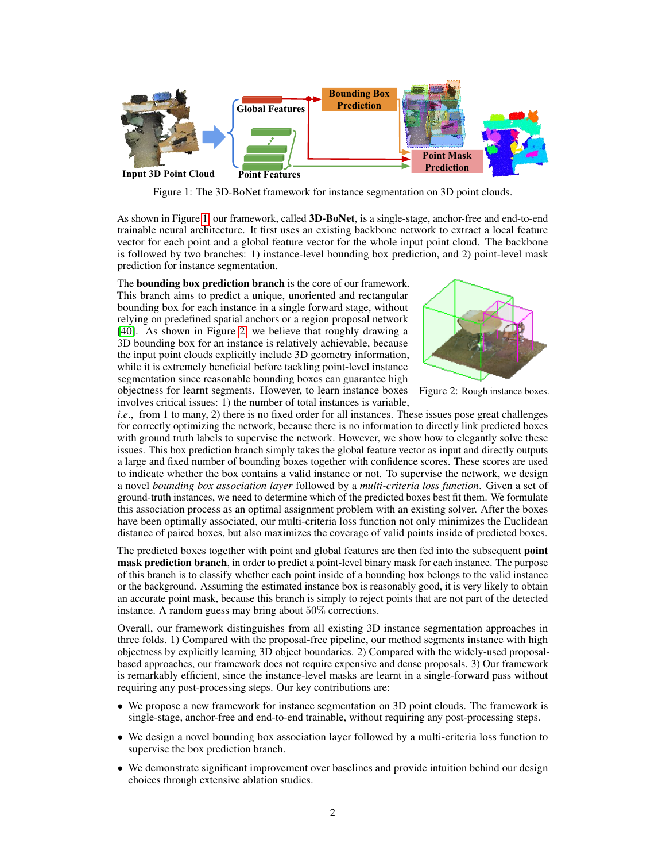

Figure 1: The 3D-BoNet framework for instance segmentation on 3D point clouds.

As shown in Figure 1, our framework, called 3D-BoNet, is a single-stage, anchor-free and end-to-end trainable neural architecture. It first uses an existing backbone network to extract a local feature vector for each point and a global feature vector for the whole input point cloud. The backbone is followed by two branches: 1) instance-level bounding box prediction, and 2) point-level mask prediction for instance segmentation.

The bounding box prediction branch is the core of our framework. This branch aims to predict a unique, unoriented and rectangular bounding box for each instance in a single forward stage, without relying on predefined spatial anchors or a region proposal network [40]. As shown in Figure 2, we believe that roughly drawing a 3D bounding box for an instance is relatively achievable, because the input point clouds explicitly include 3D geometry information, while it is extremely beneficial before tackling point-level instance segmentation since reasonable bounding boxes can guarantee high objectness for learnt segments. However, to learn instance boxes involves critical issues: 1) the number of total instances is variable,



Figure 2: Rough instance boxes.

*i.e.*, from 1 to many, 2) there is no fixed order for all instances. These issues pose great challenges for correctly optimizing the network, because there is no information to directly link predicted boxes with ground truth labels to supervise the network. However, we show how to elegantly solve these issues. This box prediction branch simply takes the global feature vector as input and directly outputs a large and fixed number of bounding boxes together with confidence scores. These scores are used to indicate whether the box contains a valid instance or not. To supervise the network, we design a novel *bounding box association layer* followed by a *multi-criteria loss function*. Given a set of ground-truth instances, we need to determine which of the predicted boxes best fit them. We formulate this association process as an optimal assignment problem with an existing solver. After the boxes have been optimally associated, our multi-criteria loss function not only minimizes the Euclidean distance of paired boxes, but also maximizes the coverage of valid points inside of predicted boxes.

The predicted boxes together with point and global features are then fed into the subsequent **point** mask prediction branch, in order to predict a point-level binary mask for each instance. The purpose of this branch is to classify whether each point inside of a bounding box belongs to the valid instance or the background. Assuming the estimated instance box is reasonably good, it is very likely to obtain an accurate point mask, because this branch is simply to reject points that are not part of the detected instance. A random guess may bring about 50% corrections.

Overall, our framework distinguishes from all existing 3D instance segmentation approaches in three folds. 1) Compared with the proposal-free pipeline, our method segments instance with high objectness by explicitly learning 3D object boundaries. 2) Compared with the widely-used proposalbased approaches, our framework does not require expensive and dense proposals. 3) Our framework is remarkably efficient, since the instance-level masks are learnt in a single-forward pass without requiring any post-processing steps. Our key contributions are:

- We propose a new framework for instance segmentation on 3D point clouds. The framework is single-stage, anchor-free and end-to-end trainable, without requiring any post-processing steps.
- We design a novel bounding box association layer followed by a multi-criteria loss function to supervise the box prediction branch.
- We demonstrate significant improvement over baselines and provide intuition behind our design choices through extensive ablation studies.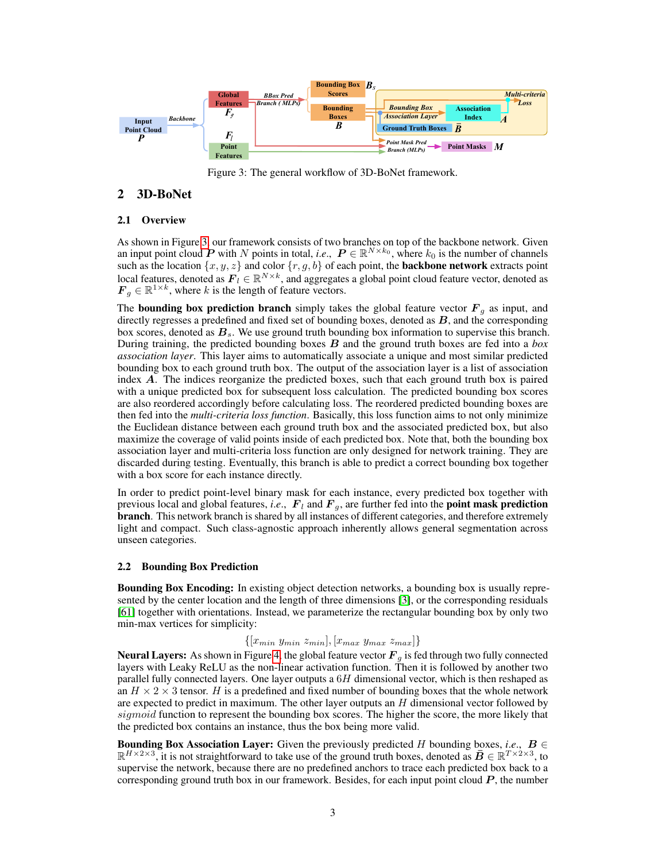

Figure 3: The general workflow of 3D-BoNet framework.

# 2 3D-BoNet

## 2.1 Overview

As shown in Figure 3, our framework consists of two branches on top of the backbone network. Given an input point cloud  $\vec{P}$  with N points in total, *i.e.*,  $P \in \mathbb{R}^{N \times k_0}$ , where  $k_0$  is the number of channels such as the location  $\{x, y, z\}$  and color  $\{r, g, b\}$  of each point, the **backbone network** extracts point local features, denoted as  $F_l \in \mathbb{R}^{N \times k}$ , and aggregates a global point cloud feature vector, denoted as  $\mathbf{F}_g \in \mathbb{R}^{1 \times k}$ , where k is the length of feature vectors.

The **bounding box prediction branch** simply takes the global feature vector  $F<sub>g</sub>$  as input, and directly regresses a predefined and fixed set of bounding boxes, denoted as  $B$ , and the corresponding box scores, denoted as  $B_s$ . We use ground truth bounding box information to supervise this branch. During training, the predicted bounding boxes B and the ground truth boxes are fed into a *box association layer*. This layer aims to automatically associate a unique and most similar predicted bounding box to each ground truth box. The output of the association layer is a list of association index A. The indices reorganize the predicted boxes, such that each ground truth box is paired with a unique predicted box for subsequent loss calculation. The predicted bounding box scores are also reordered accordingly before calculating loss. The reordered predicted bounding boxes are then fed into the *multi-criteria loss function*. Basically, this loss function aims to not only minimize the Euclidean distance between each ground truth box and the associated predicted box, but also maximize the coverage of valid points inside of each predicted box. Note that, both the bounding box association layer and multi-criteria loss function are only designed for network training. They are discarded during testing. Eventually, this branch is able to predict a correct bounding box together with a box score for each instance directly.

In order to predict point-level binary mask for each instance, every predicted box together with previous local and global features, *i.e.*,  $\mathbf{F}_l$  and  $\mathbf{F}_q$ , are further fed into the **point mask prediction** branch. This network branch is shared by all instances of different categories, and therefore extremely light and compact. Such class-agnostic approach inherently allows general segmentation across unseen categories.

## 2.2 Bounding Box Prediction

Bounding Box Encoding: In existing object detection networks, a bounding box is usually represented by the center location and the length of three dimensions [3], or the corresponding residuals [61] together with orientations. Instead, we parameterize the rectangular bounding box by only two min-max vertices for simplicity:

 $\{|x_{min} y_{min} z_{min}|, |x_{max} y_{max} z_{max}|\}$ 

**Neural Layers:** As shown in Figure 4, the global feature vector  $F<sub>q</sub>$  is fed through two fully connected layers with Leaky ReLU as the non-linear activation function. Then it is followed by another two parallel fully connected layers. One layer outputs a  $6H$  dimensional vector, which is then reshaped as an  $H \times 2 \times 3$  tensor. H is a predefined and fixed number of bounding boxes that the whole network are expected to predict in maximum. The other layer outputs an  $H$  dimensional vector followed by sigmoid function to represent the bounding box scores. The higher the score, the more likely that the predicted box contains an instance, thus the box being more valid.

**Bounding Box Association Layer:** Given the previously predicted H bounding boxes, *i.e.*,  $B \in$  $\mathbb{R}^{H \times 2 \times 3}$ , it is not straightforward to take use of the ground truth boxes, denoted as  $\bar{B} \in \mathbb{R}^{T \times 2 \times 3}$ , to supervise the network, because there are no predefined anchors to trace each predicted box back to a corresponding ground truth box in our framework. Besides, for each input point cloud  $P$ , the number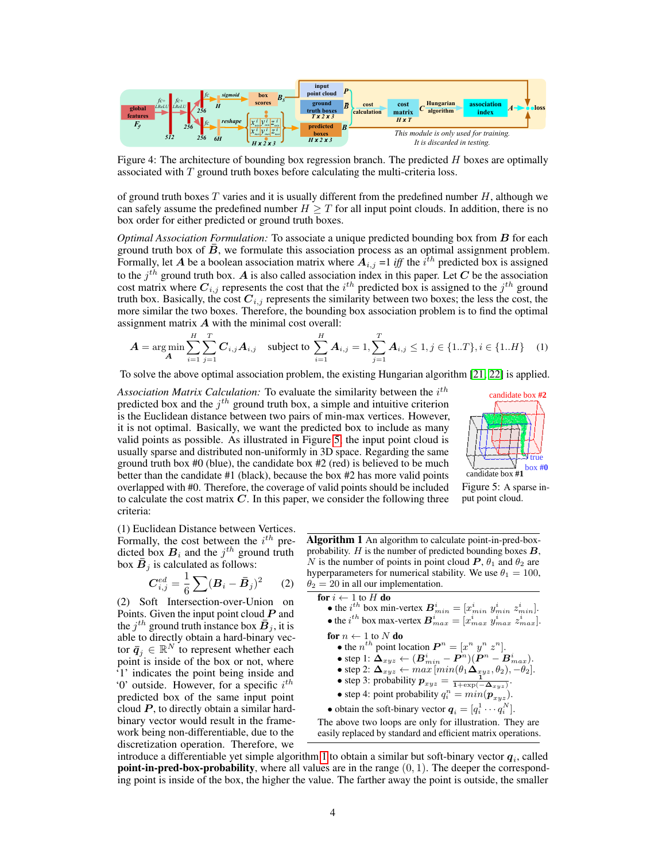

Figure 4: The architecture of bounding box regression branch. The predicted  $H$  boxes are optimally associated with  $T$  ground truth boxes before calculating the multi-criteria loss.

of ground truth boxes  $T$  varies and it is usually different from the predefined number  $H$ , although we can safely assume the predefined number  $H \geq T$  for all input point clouds. In addition, there is no box order for either predicted or ground truth boxes.

*Optimal Association Formulation:* To associate a unique predicted bounding box from B for each ground truth box of  $\bar{B}$ , we formulate this association process as an optimal assignment problem. Formally, let A be a boolean association matrix where  $A_{i,j}$  =1 *iff* the  $i^{th}$  predicted box is assigned to the  $j<sup>th</sup>$  ground truth box. A is also called association index in this paper. Let C be the association cost matrix where  $C_{i,j}$  represents the cost that the  $i^{th}$  predicted box is assigned to the  $j^{th}$  ground truth box. Basically, the cost  $C_{i,j}$  represents the similarity between two boxes; the less the cost, the more similar the two boxes. Therefore, the bounding box association problem is to find the optimal assignment matrix  $\boldsymbol{A}$  with the minimal cost overall:

$$
\boldsymbol{A} = \arg\min_{\boldsymbol{A}} \sum_{i=1}^{H} \sum_{j=1}^{T} \boldsymbol{C}_{i,j} \boldsymbol{A}_{i,j} \quad \text{subject to } \sum_{i=1}^{H} \boldsymbol{A}_{i,j} = 1, \sum_{j=1}^{T} \boldsymbol{A}_{i,j} \le 1, j \in \{1..T\}, i \in \{1..H\} \quad (1)
$$

To solve the above optimal association problem, the existing Hungarian algorithm [21; 22] is applied.

Association Matrix Calculation: To evaluate the similarity between the  $i^{th}$ predicted box and the  $j<sup>th</sup>$  ground truth box, a simple and intuitive criterion is the Euclidean distance between two pairs of min-max vertices. However, it is not optimal. Basically, we want the predicted box to include as many valid points as possible. As illustrated in Figure 5, the input point cloud is usually sparse and distributed non-uniformly in 3D space. Regarding the same ground truth box #0 (blue), the candidate box #2 (red) is believed to be much better than the candidate #1 (black), because the box #2 has more valid points overlapped with #0. Therefore, the coverage of valid points should be included to calculate the cost matrix  $C$ . In this paper, we consider the following three criteria:



Figure 5: A sparse input point cloud.

(1) Euclidean Distance between Vertices. Formally, the cost between the  $i^{th}$  predicted box  $B_i$  and the  $j^{th}$  ground truth box  $\overline{B}_j$  is calculated as follows:

$$
C_{i,j}^{ed} = \frac{1}{6} \sum (\bm{B}_i - \bar{\bm{B}}_j)^2
$$
 (2)

(2) Soft Intersection-over-Union on Points. Given the input point cloud  $P$  and the  $j^{th}$  ground truth instance box  $\bar{B}_j$ , it is able to directly obtain a hard-binary vector  $\bar{q}_j \in \mathbb{R}^N$  to represent whether each point is inside of the box or not, where '1' indicates the point being inside and '0' outside. However, for a specific  $i^{th}$ predicted box of the same input point cloud  $P$ , to directly obtain a similar hardbinary vector would result in the framework being non-differentiable, due to the discretization operation. Therefore, we Algorithm 1 An algorithm to calculate point-in-pred-boxprobability.  $H$  is the number of predicted bounding boxes  $B$ , N is the number of points in point cloud  $P$ ,  $\theta_1$  and  $\theta_2$  are hyperparameters for numerical stability. We use  $\theta_1 = 100$ ,  $\theta_2 = 20$  in all our implementation.

for *i* ← 1 to *H* do  
\n• the *i*<sup>th</sup> box min-vertex 
$$
B_{min}^i = [x_{min}^i y_{min}^i z_{min}^i]
$$
.  
\n• the *i*<sup>th</sup> box max-vertex  $B_{max}^i = [x_{max}^i y_{max}^i z_{max}^i]$ .  
\nfor *n* ← 1 to *N* do  
\n• the *n*<sup>th</sup> point location  $P^n = [x^n y^n z^n]$ .  
\n• step 1:  $\Delta_{xyz} \leftarrow (B_{min}^i - P^n)(P^n - B_{max}^i)$ .  
\n• step 2:  $\Delta_{xyz} \leftarrow max [min(\theta_1 \Delta_{xyz}, \theta_2), -\theta_2]$ .  
\n• step 3: probability  $p_{xyz} = \frac{1}{1 + \exp(-\Delta_{xyz})}$ .  
\n• step 4: point probability  $q_i^n = min(p_{xyz})$ .  
\n• obtain the soft binary vector  $q_i = [q_i^1 \cdots q_i^N]$ .  
\nThe above two loops are only for illustration. They are easily replaced by standard and efficient matrix operations.

introduce a differentiable yet simple algorithm 1 to obtain a similar but soft-binary vector  $q_i$ , called **point-in-pred-box-probability**, where all values are in the range  $(0, 1)$ . The deeper the corresponding point is inside of the box, the higher the value. The farther away the point is outside, the smaller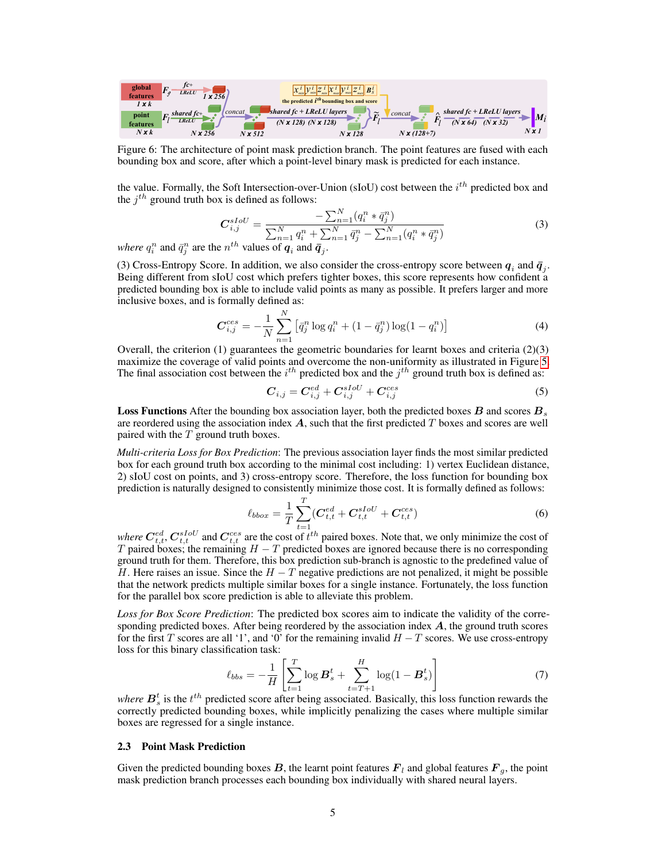

Figure 6: The architecture of point mask prediction branch. The point features are fused with each bounding box and score, after which a point-level binary mask is predicted for each instance.

the value. Formally, the Soft Intersection-over-Union (sIoU) cost between the  $i^{th}$  predicted box and the  $j^{th}$  ground truth box is defined as follows:

$$
C_{i,j}^{sIoU} = \frac{-\sum_{n=1}^{N} (q_i^n * \bar{q}_j^n)}{\sum_{n=1}^{N} q_i^n + \sum_{n=1}^{N} \bar{q}_j^n - \sum_{n=1}^{N} (q_i^n * \bar{q}_j^n)}
$$
(3)  
e  $n^{th}$  values of  $\boldsymbol{a}$  and  $\bar{\boldsymbol{a}}$ .

*where*  $q_i^n$  and  $\bar{q}_j^n$  are the  $n^{th}$  values of  $\boldsymbol{q}_i$  and  $\bar{\boldsymbol{q}}_j$ .

(3) Cross-Entropy Score. In addition, we also consider the cross-entropy score between  $q_i$  and  $\bar{q}_j$ . Being different from sIoU cost which prefers tighter boxes, this score represents how confident a predicted bounding box is able to include valid points as many as possible. It prefers larger and more inclusive boxes, and is formally defined as:

$$
C_{i,j}^{ces} = -\frac{1}{N} \sum_{n=1}^{N} \left[ \bar{q}_j^n \log q_i^n + (1 - \bar{q}_j^n) \log(1 - q_i^n) \right]
$$
 (4)

Overall, the criterion  $(1)$  guarantees the geometric boundaries for learnt boxes and criteria  $(2)(3)$ maximize the coverage of valid points and overcome the non-uniformity as illustrated in Figure 5. The final association cost between the  $i^{th}$  predicted box and the  $j^{th}$  ground truth box is defined as:

$$
C_{i,j} = C_{i,j}^{ed} + C_{i,j}^{sIoU} + C_{i,j}^{ces}
$$
 (5)

**Loss Functions** After the bounding box association layer, both the predicted boxes  $\boldsymbol{B}$  and scores  $\boldsymbol{B}_s$ are reordered using the association index  $A$ , such that the first predicted  $T$  boxes and scores are well paired with the  $T$  ground truth boxes.

*Multi-criteria Loss for Box Prediction*: The previous association layer finds the most similar predicted box for each ground truth box according to the minimal cost including: 1) vertex Euclidean distance, 2) sIoU cost on points, and 3) cross-entropy score. Therefore, the loss function for bounding box prediction is naturally designed to consistently minimize those cost. It is formally defined as follows:

$$
\ell_{bbox} = \frac{1}{T} \sum_{t=1}^{T} (C_{t,t}^{ed} + C_{t,t}^{sIoU} + C_{t,t}^{ces})
$$
\n(6)

where  $\mathbf{C}_{t,t}^{ed}$ ,  $\mathbf{C}_{t,t}^{sIoU}$  and  $\mathbf{C}_{t,t}^{ces}$  are the cost of  $t^{th}$  paired boxes. Note that, we only minimize the cost of T paired boxes; the remaining  $H - T$  predicted boxes are ignored because there is no corresponding ground truth for them. Therefore, this box prediction sub-branch is agnostic to the predefined value of H. Here raises an issue. Since the  $H - T$  negative predictions are not penalized, it might be possible that the network predicts multiple similar boxes for a single instance. Fortunately, the loss function for the parallel box score prediction is able to alleviate this problem.

*Loss for Box Score Prediction*: The predicted box scores aim to indicate the validity of the corresponding predicted boxes. After being reordered by the association index  $A$ , the ground truth scores for the first T scores are all '1', and '0' for the remaining invalid  $H - T$  scores. We use cross-entropy loss for this binary classification task:

$$
\ell_{bbs} = -\frac{1}{H} \left[ \sum_{t=1}^{T} \log \mathbf{B}_s^t + \sum_{t=T+1}^{H} \log(1 - \mathbf{B}_s^t) \right] \tag{7}
$$

where  $B_s^t$  is the  $t^{th}$  predicted score after being associated. Basically, this loss function rewards the correctly predicted bounding boxes, while implicitly penalizing the cases where multiple similar boxes are regressed for a single instance.

#### 2.3 Point Mask Prediction

Given the predicted bounding boxes  $B$ , the learnt point features  $F_l$  and global features  $F_g$ , the point mask prediction branch processes each bounding box individually with shared neural layers.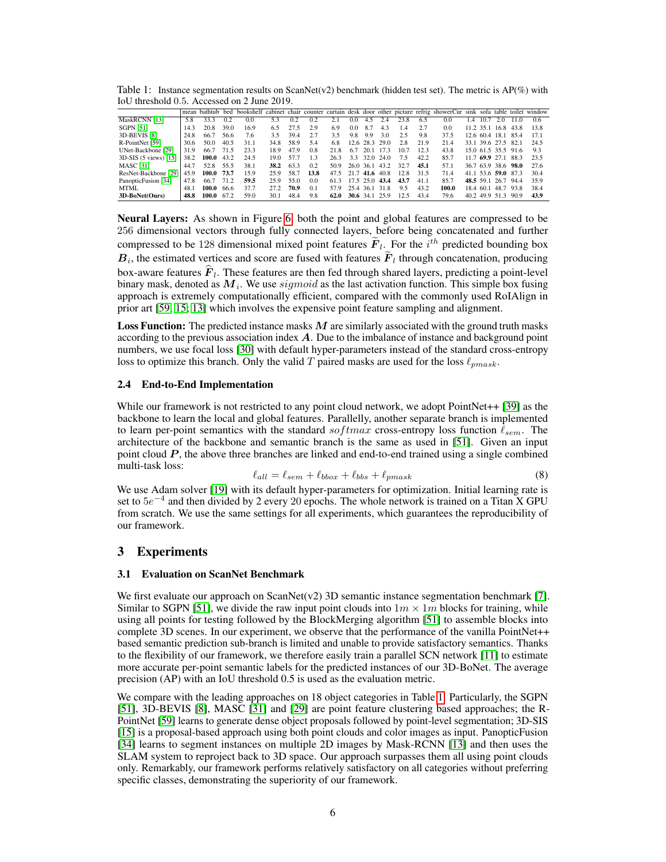Table 1: Instance segmentation results on ScanNet(v2) benchmark (hidden test set). The metric is AP(%) with IoU threshold 0.5. Accessed on 2 June 2019.

|                         |      |            |      |      |      |      |      |                     |             |           |                  |      |      | mean bathtub bed bookshelf cabinet chair counter curtain desk door other picture refrig showerCur sink sofa table toilet window |           |      |                     |                     |      |
|-------------------------|------|------------|------|------|------|------|------|---------------------|-------------|-----------|------------------|------|------|---------------------------------------------------------------------------------------------------------------------------------|-----------|------|---------------------|---------------------|------|
| MaskRCNN [13]           | 5.8  | 33.3       | 0.2  | 0.0  | 5.3  | 0.2  | 0.2  |                     | 0.0         | 4.5       | 24               | 23.8 | 6.5  | 0.0                                                                                                                             | 1.4       | 10.7 | 2.0                 | 110                 | 0.6  |
| <b>SGPN [51]</b>        | 14.3 | 20.8       | 39.0 | 16.9 | 6.5  | 27.5 | 2.9  | 6.9                 | 0.0         | 8.7       | 4.3              | 1.4  | 27   | 0.0                                                                                                                             |           |      | 11.2 35.1 16.8      | 43.8                | 13.8 |
| 3D-BEVIS [8]            | 24.8 | 66.7       | 56.6 | 7.6  | 35   | 39.4 | 27   | 35                  | 9.8         | 9.9       | 3.0              | 2.5  | 9.8  | 37.5                                                                                                                            |           |      | 12.6 60.4 18.1 85.4 |                     | 171  |
| R-PointNet [59]         | 30.6 | 50.0       | 40.5 | 31.1 | 34.8 | 58.9 | 5.4  | 6.8                 |             |           | $12.6$ 28.3 29.0 | 2.8  | 21.9 | 21.4                                                                                                                            |           |      | 33.1 39.6 27.5 82.1 |                     | 24.5 |
| UNet-Backbone [29]      | 31.9 | 66.7       | 71.5 | 23.3 | 18.9 | 47.9 | 0.8  | 21.8                | 67          | 20.1      | - 173            | 10.7 | 123  | 43.8                                                                                                                            |           |      |                     | 15.0 61.5 35.5 91.6 | 9.3  |
| $3D-SIS$ (5 views) [15] | 38.2 | 100.0      | 43.2 | 24.5 | 19.0 | 57.7 | 1.3  | 26.3                | 3.3         | 32.0 24.0 |                  | 7.5  | 42.2 | 85.7                                                                                                                            |           |      | 11.7 69.9 27.1      | 88.3                | 23.5 |
| <b>MASC</b> [31]        | 44.7 | 52.8       | 55.5 | 38.1 | 38.2 | 63.3 | 0.2  | 50.9                |             |           | 26.0 36.1 43.2   | 32.7 | 45.1 | 57.1                                                                                                                            |           |      | 36.7 63.9 38.6 98.0 |                     | 27.6 |
| ResNet-Backbone [29]    | 45.9 | 100.0 73.7 |      | 15.9 | 25.9 | 58.7 | 13.8 | 47.5 21.7 41.6 40.8 |             |           |                  | 12.8 | 31.5 | 71.4                                                                                                                            |           |      | 41.1 53.6 59.0 87.3 |                     | 30.4 |
| PanopticFusion [34]     | 47.8 | 66.7       | 71.2 | 59.5 | 25.9 | 55.0 | 0.0  | 61.3                |             |           | 17.5 25.0 43.4   | 43.7 | 41.1 | 85.7                                                                                                                            |           |      | 48.5 59.1 26.7 94.4 |                     | 35.9 |
| MTML.                   | 48.1 | 100.0      | 66.6 | 37.7 | 272  | 70.9 | 0.1  | 57.9                |             |           | 25.4 36.1 31.8   | 9.5  | 43.2 | 100.0                                                                                                                           | 18.4 60.1 |      | 48.7 93.8           |                     | 38.4 |
| 3D-BoNet(Ours)          | 48.8 | 100.0      | 67.2 | 59.0 | 30.1 | 48.4 | 9.8  | 62.0                | $30.6$ 34.1 |           | 25.9             | 12.5 | 43.4 | 79.6                                                                                                                            |           |      | 40.2 49.9 51.3 90.9 |                     | 43.9 |

Neural Layers: As shown in Figure 6, both the point and global features are compressed to be 256 dimensional vectors through fully connected layers, before being concatenated and further compressed to be 128 dimensional mixed point features  $\tilde{F}_l$ . For the  $i^{th}$  predicted bounding box  $B_i$ , the estimated vertices and score are fused with features  $F_i$  through concatenation, producing box-aware features  $F_l$ . These features are then fed through shared layers, predicting a point-level binary mask, denoted as  $M_i$ . We use  $sigmoid$  as the last activation function. This simple box fusing approach is extremely computationally efficient, compared with the commonly used RoIAlign in prior art [59; 15; 13] which involves the expensive point feature sampling and alignment.

**Loss Function:** The predicted instance masks  $M$  are similarly associated with the ground truth masks according to the previous association index A. Due to the imbalance of instance and background point numbers, we use focal loss [30] with default hyper-parameters instead of the standard cross-entropy loss to optimize this branch. Only the valid T paired masks are used for the loss  $\ell_{mnask}$ .

#### 2.4 End-to-End Implementation

While our framework is not restricted to any point cloud network, we adopt PointNet++ [39] as the backbone to learn the local and global features. Parallelly, another separate branch is implemented to learn per-point semantics with the standard softmax cross-entropy loss function  $\ell_{sem}$ . The architecture of the backbone and semantic branch is the same as used in [51]. Given an input point cloud  $P$ , the above three branches are linked and end-to-end trained using a single combined multi-task loss:

$$
\ell_{all} = \ell_{sem} + \ell_{bbox} + \ell_{bbs} + \ell_{pmask} \tag{8}
$$

We use Adam solver [19] with its default hyper-parameters for optimization. Initial learning rate is set to  $5e^{-4}$  and then divided by 2 every 20 epochs. The whole network is trained on a Titan X GPU from scratch. We use the same settings for all experiments, which guarantees the reproducibility of our framework.

# 3 Experiments

#### 3.1 Evaluation on ScanNet Benchmark

We first evaluate our approach on ScanNet(v2) 3D semantic instance segmentation benchmark [7]. Similar to SGPN [51], we divide the raw input point clouds into  $1m \times 1m$  blocks for training, while using all points for testing followed by the BlockMerging algorithm [51] to assemble blocks into complete 3D scenes. In our experiment, we observe that the performance of the vanilla PointNet++ based semantic prediction sub-branch is limited and unable to provide satisfactory semantics. Thanks to the flexibility of our framework, we therefore easily train a parallel SCN network [11] to estimate more accurate per-point semantic labels for the predicted instances of our 3D-BoNet. The average precision (AP) with an IoU threshold 0.5 is used as the evaluation metric.

We compare with the leading approaches on 18 object categories in Table 1. Particularly, the SGPN [51], 3D-BEVIS [8], MASC [31] and [29] are point feature clustering based approaches; the R-PointNet [59] learns to generate dense object proposals followed by point-level segmentation; 3D-SIS [15] is a proposal-based approach using both point clouds and color images as input. PanopticFusion [34] learns to segment instances on multiple 2D images by Mask-RCNN [13] and then uses the SLAM system to reproject back to 3D space. Our approach surpasses them all using point clouds only. Remarkably, our framework performs relatively satisfactory on all categories without preferring specific classes, demonstrating the superiority of our framework.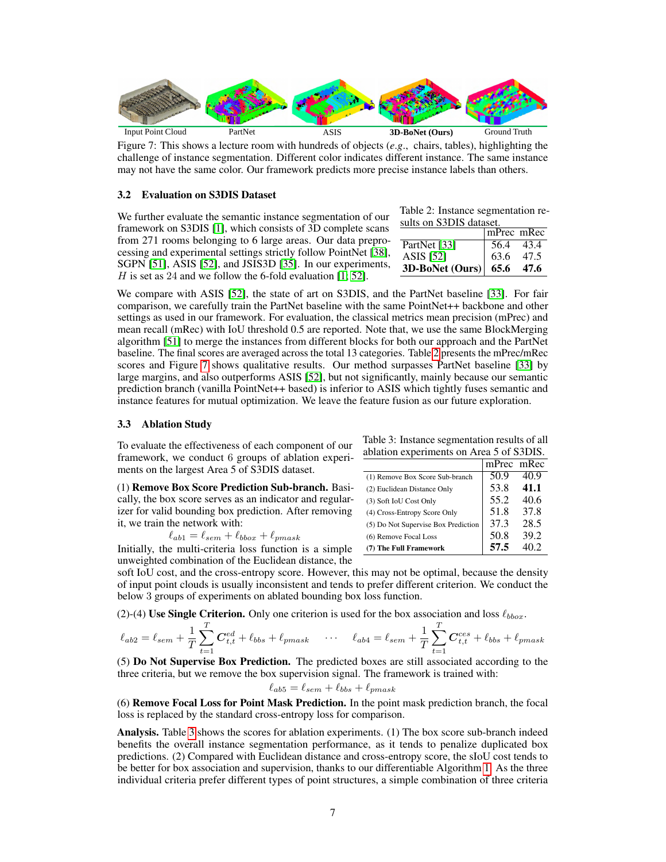

Figure 7: This shows a lecture room with hundreds of objects (*e*.*g*., chairs, tables), highlighting the challenge of instance segmentation. Different color indicates different instance. The same instance may not have the same color. Our framework predicts more precise instance labels than others.

#### 3.2 Evaluation on S3DIS Dataset

We further evaluate the semantic instance segmentation of our framework on S3DIS [1], which consists of 3D complete scans from 271 rooms belonging to 6 large areas. Our data preprocessing and experimental settings strictly follow PointNet [38], SGPN [51], ASIS [52], and JSIS3D [35]. In our experiments, H is set as 24 and we follow the 6-fold evaluation  $[1; 52]$ .

|  | Table 2: Instance segmentation re- |  |  |
|--|------------------------------------|--|--|
|  | sults on S3DIS dataset.            |  |  |
|  |                                    |  |  |

|                   | $ mPrec$ mRec |      |
|-------------------|---------------|------|
| PartNet [33]      | 56.4          | 43.4 |
| ASIS [52]         | 63.6          | 47.5 |
| $3D-BoNet (Ours)$ | 65.6          | 47.6 |

We compare with ASIS [52], the state of art on S3DIS, and the PartNet baseline [33]. For fair comparison, we carefully train the PartNet baseline with the same PointNet++ backbone and other settings as used in our framework. For evaluation, the classical metrics mean precision (mPrec) and mean recall (mRec) with IoU threshold 0.5 are reported. Note that, we use the same BlockMerging algorithm [51] to merge the instances from different blocks for both our approach and the PartNet baseline. The final scores are averaged across the total 13 categories. Table 2 presents the mPrec/mRec scores and Figure 7 shows qualitative results. Our method surpasses PartNet baseline [33] by large margins, and also outperforms ASIS [52], but not significantly, mainly because our semantic prediction branch (vanilla PointNet++ based) is inferior to ASIS which tightly fuses semantic and instance features for mutual optimization. We leave the feature fusion as our future exploration.

#### 3.3 Ablation Study

To evaluate the effectiveness of each component of our framework, we conduct 6 groups of ablation experiments on the largest Area 5 of S3DIS dataset.

(1) Remove Box Score Prediction Sub-branch. Basically, the box score serves as an indicator and regularizer for valid bounding box prediction. After removing it, we train the network with:

$$
\ell_{ab1} = \ell_{sem} + \ell_{bbox} + \ell_{pmask}
$$

Initially, the multi-criteria loss function is a simple unweighted combination of the Euclidean distance, the

Table 3: Instance segmentation results of all ablation experiments on Area 5 of S3DIS.

|                                     | mPrec mRec |       |
|-------------------------------------|------------|-------|
| (1) Remove Box Score Sub-branch     | 50.9       | 40.9  |
| (2) Euclidean Distance Only         | 53.8       | 41.1  |
| (3) Soft IoU Cost Only              | 55.2       | 40.6  |
| (4) Cross-Entropy Score Only        | 51.8       | 37.8  |
| (5) Do Not Supervise Box Prediction | 37.3       | 28.5  |
| (6) Remove Focal Loss               | 50.8       | 39.2  |
| (7) The Full Framework              | 57.5       | IO 2. |

soft IoU cost, and the cross-entropy score. However, this may not be optimal, because the density of input point clouds is usually inconsistent and tends to prefer different criterion. We conduct the below 3 groups of experiments on ablated bounding box loss function.

(2)-(4) Use Single Criterion. Only one criterion is used for the box association and loss  $\ell_{bbox}$ .

$$
\ell_{ab2} = \ell_{sem} + \frac{1}{T}\sum_{t=1}^T \mathbf{C}_{t,t}^{ed} + \ell_{bbs} + \ell_{pmask} \quad \cdots \quad \ell_{ab4} = \ell_{sem} + \frac{1}{T}\sum_{t=1}^T \mathbf{C}_{t,t}^{ces} + \ell_{bbs} + \ell_{pmask}
$$

(5) Do Not Supervise Box Prediction. The predicted boxes are still associated according to the three criteria, but we remove the box supervision signal. The framework is trained with:

$$
\ell_{ab5} = \ell_{sem} + \ell_{bbs} + \ell_{pmask}
$$

(6) Remove Focal Loss for Point Mask Prediction. In the point mask prediction branch, the focal loss is replaced by the standard cross-entropy loss for comparison.

Analysis. Table 3 shows the scores for ablation experiments. (1) The box score sub-branch indeed benefits the overall instance segmentation performance, as it tends to penalize duplicated box predictions. (2) Compared with Euclidean distance and cross-entropy score, the sIoU cost tends to be better for box association and supervision, thanks to our differentiable Algorithm 1. As the three individual criteria prefer different types of point structures, a simple combination of three criteria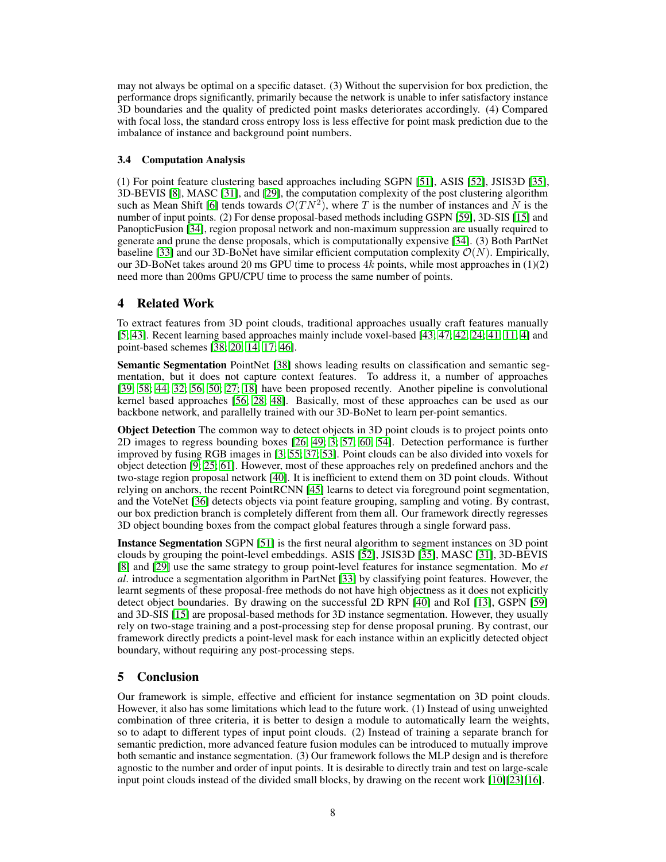may not always be optimal on a specific dataset. (3) Without the supervision for box prediction, the performance drops significantly, primarily because the network is unable to infer satisfactory instance 3D boundaries and the quality of predicted point masks deteriorates accordingly. (4) Compared with focal loss, the standard cross entropy loss is less effective for point mask prediction due to the imbalance of instance and background point numbers.

### 3.4 Computation Analysis

(1) For point feature clustering based approaches including SGPN [51], ASIS [52], JSIS3D [35], 3D-BEVIS [8], MASC [31], and [29], the computation complexity of the post clustering algorithm such as Mean Shift [6] tends towards  $\mathcal{O}(TN^2)$ , where T is the number of instances and N is the number of input points. (2) For dense proposal-based methods including GSPN [59], 3D-SIS [15] and PanopticFusion [34], region proposal network and non-maximum suppression are usually required to generate and prune the dense proposals, which is computationally expensive [34]. (3) Both PartNet baseline [33] and our 3D-BoNet have similar efficient computation complexity  $\mathcal{O}(N)$ . Empirically, our 3D-BoNet takes around 20 ms GPU time to process  $4k$  points, while most approaches in (1)(2) need more than 200ms GPU/CPU time to process the same number of points.

# 4 Related Work

To extract features from 3D point clouds, traditional approaches usually craft features manually [5; 43]. Recent learning based approaches mainly include voxel-based [43; 47; 42; 24; 41; 11; 4] and point-based schemes [38; 20; 14; 17; 46].

Semantic Segmentation PointNet [38] shows leading results on classification and semantic segmentation, but it does not capture context features. To address it, a number of approaches [39; 58; 44; 32; 56; 50; 27; 18] have been proposed recently. Another pipeline is convolutional kernel based approaches [56; 28; 48]. Basically, most of these approaches can be used as our backbone network, and parallelly trained with our 3D-BoNet to learn per-point semantics.

**Object Detection** The common way to detect objects in 3D point clouds is to project points onto 2D images to regress bounding boxes [26; 49; 3; 57; 60; 54]. Detection performance is further improved by fusing RGB images in [3; 55; 37; 53]. Point clouds can be also divided into voxels for object detection [9; 25; 61]. However, most of these approaches rely on predefined anchors and the two-stage region proposal network [40]. It is inefficient to extend them on 3D point clouds. Without relying on anchors, the recent PointRCNN [45] learns to detect via foreground point segmentation, and the VoteNet [36] detects objects via point feature grouping, sampling and voting. By contrast, our box prediction branch is completely different from them all. Our framework directly regresses 3D object bounding boxes from the compact global features through a single forward pass.

Instance Segmentation SGPN [51] is the first neural algorithm to segment instances on 3D point clouds by grouping the point-level embeddings. ASIS [52], JSIS3D [35], MASC [31], 3D-BEVIS [8] and [29] use the same strategy to group point-level features for instance segmentation. Mo *et al*. introduce a segmentation algorithm in PartNet [33] by classifying point features. However, the learnt segments of these proposal-free methods do not have high objectness as it does not explicitly detect object boundaries. By drawing on the successful 2D RPN [40] and RoI [13], GSPN [59] and 3D-SIS [15] are proposal-based methods for 3D instance segmentation. However, they usually rely on two-stage training and a post-processing step for dense proposal pruning. By contrast, our framework directly predicts a point-level mask for each instance within an explicitly detected object boundary, without requiring any post-processing steps.

# 5 Conclusion

Our framework is simple, effective and efficient for instance segmentation on 3D point clouds. However, it also has some limitations which lead to the future work. (1) Instead of using unweighted combination of three criteria, it is better to design a module to automatically learn the weights, so to adapt to different types of input point clouds. (2) Instead of training a separate branch for semantic prediction, more advanced feature fusion modules can be introduced to mutually improve both semantic and instance segmentation. (3) Our framework follows the MLP design and is therefore agnostic to the number and order of input points. It is desirable to directly train and test on large-scale input point clouds instead of the divided small blocks, by drawing on the recent work [10][23][16].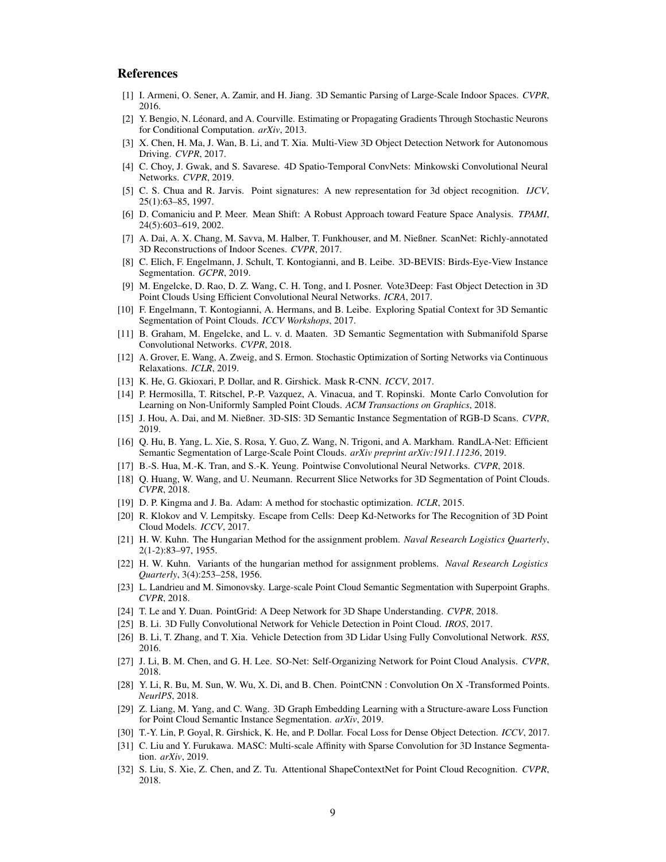## References

- [1] I. Armeni, O. Sener, A. Zamir, and H. Jiang. 3D Semantic Parsing of Large-Scale Indoor Spaces. *CVPR*, 2016.
- [2] Y. Bengio, N. Léonard, and A. Courville. Estimating or Propagating Gradients Through Stochastic Neurons for Conditional Computation. *arXiv*, 2013.
- [3] X. Chen, H. Ma, J. Wan, B. Li, and T. Xia. Multi-View 3D Object Detection Network for Autonomous Driving. *CVPR*, 2017.
- [4] C. Choy, J. Gwak, and S. Savarese. 4D Spatio-Temporal ConvNets: Minkowski Convolutional Neural Networks. *CVPR*, 2019.
- [5] C. S. Chua and R. Jarvis. Point signatures: A new representation for 3d object recognition. *IJCV*, 25(1):63–85, 1997.
- [6] D. Comaniciu and P. Meer. Mean Shift: A Robust Approach toward Feature Space Analysis. *TPAMI*, 24(5):603–619, 2002.
- [7] A. Dai, A. X. Chang, M. Savva, M. Halber, T. Funkhouser, and M. Nießner. ScanNet: Richly-annotated 3D Reconstructions of Indoor Scenes. *CVPR*, 2017.
- [8] C. Elich, F. Engelmann, J. Schult, T. Kontogianni, and B. Leibe. 3D-BEVIS: Birds-Eye-View Instance Segmentation. *GCPR*, 2019.
- [9] M. Engelcke, D. Rao, D. Z. Wang, C. H. Tong, and I. Posner. Vote3Deep: Fast Object Detection in 3D Point Clouds Using Efficient Convolutional Neural Networks. *ICRA*, 2017.
- [10] F. Engelmann, T. Kontogianni, A. Hermans, and B. Leibe. Exploring Spatial Context for 3D Semantic Segmentation of Point Clouds. *ICCV Workshops*, 2017.
- [11] B. Graham, M. Engelcke, and L. v. d. Maaten. 3D Semantic Segmentation with Submanifold Sparse Convolutional Networks. *CVPR*, 2018.
- [12] A. Grover, E. Wang, A. Zweig, and S. Ermon. Stochastic Optimization of Sorting Networks via Continuous Relaxations. *ICLR*, 2019.
- [13] K. He, G. Gkioxari, P. Dollar, and R. Girshick. Mask R-CNN. *ICCV*, 2017.
- [14] P. Hermosilla, T. Ritschel, P.-P. Vazquez, A. Vinacua, and T. Ropinski. Monte Carlo Convolution for Learning on Non-Uniformly Sampled Point Clouds. *ACM Transactions on Graphics*, 2018.
- [15] J. Hou, A. Dai, and M. Nießner. 3D-SIS: 3D Semantic Instance Segmentation of RGB-D Scans. *CVPR*, 2019.
- [16] Q. Hu, B. Yang, L. Xie, S. Rosa, Y. Guo, Z. Wang, N. Trigoni, and A. Markham. RandLA-Net: Efficient Semantic Segmentation of Large-Scale Point Clouds. *arXiv preprint arXiv:1911.11236*, 2019.
- [17] B.-S. Hua, M.-K. Tran, and S.-K. Yeung. Pointwise Convolutional Neural Networks. *CVPR*, 2018.
- [18] Q. Huang, W. Wang, and U. Neumann. Recurrent Slice Networks for 3D Segmentation of Point Clouds. *CVPR*, 2018.
- [19] D. P. Kingma and J. Ba. Adam: A method for stochastic optimization. *ICLR*, 2015.
- [20] R. Klokov and V. Lempitsky. Escape from Cells: Deep Kd-Networks for The Recognition of 3D Point Cloud Models. *ICCV*, 2017.
- [21] H. W. Kuhn. The Hungarian Method for the assignment problem. *Naval Research Logistics Quarterly*, 2(1-2):83–97, 1955.
- [22] H. W. Kuhn. Variants of the hungarian method for assignment problems. *Naval Research Logistics Quarterly*, 3(4):253–258, 1956.
- [23] L. Landrieu and M. Simonovsky. Large-scale Point Cloud Semantic Segmentation with Superpoint Graphs. *CVPR*, 2018.
- [24] T. Le and Y. Duan. PointGrid: A Deep Network for 3D Shape Understanding. *CVPR*, 2018.
- [25] B. Li. 3D Fully Convolutional Network for Vehicle Detection in Point Cloud. *IROS*, 2017.
- [26] B. Li, T. Zhang, and T. Xia. Vehicle Detection from 3D Lidar Using Fully Convolutional Network. *RSS*, 2016.
- [27] J. Li, B. M. Chen, and G. H. Lee. SO-Net: Self-Organizing Network for Point Cloud Analysis. *CVPR*, 2018.
- [28] Y. Li, R. Bu, M. Sun, W. Wu, X. Di, and B. Chen. PointCNN : Convolution On X -Transformed Points. *NeurlPS*, 2018.
- [29] Z. Liang, M. Yang, and C. Wang. 3D Graph Embedding Learning with a Structure-aware Loss Function for Point Cloud Semantic Instance Segmentation. *arXiv*, 2019.
- [30] T.-Y. Lin, P. Goyal, R. Girshick, K. He, and P. Dollar. Focal Loss for Dense Object Detection. *ICCV*, 2017.
- [31] C. Liu and Y. Furukawa. MASC: Multi-scale Affinity with Sparse Convolution for 3D Instance Segmentation. *arXiv*, 2019.
- [32] S. Liu, S. Xie, Z. Chen, and Z. Tu. Attentional ShapeContextNet for Point Cloud Recognition. *CVPR*, 2018.